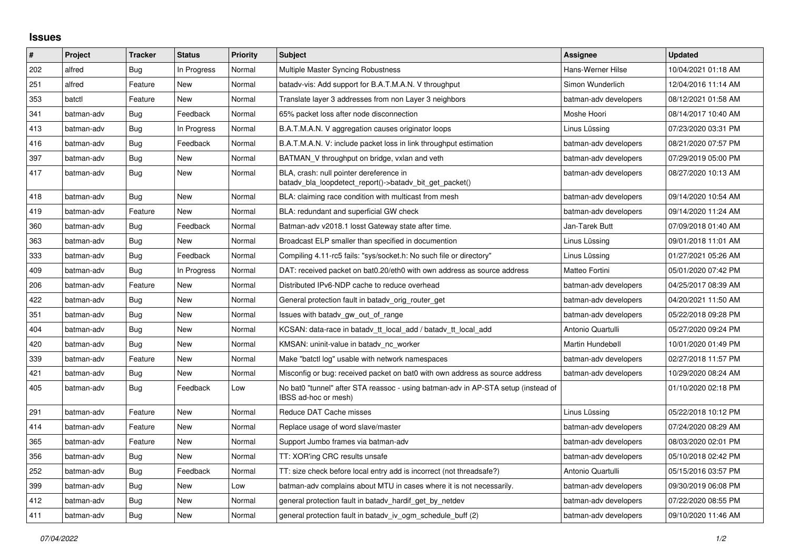## **Issues**

| #   | Project    | <b>Tracker</b> | <b>Status</b> | <b>Priority</b> | <b>Subject</b>                                                                                            | <b>Assignee</b>       | <b>Updated</b>      |
|-----|------------|----------------|---------------|-----------------|-----------------------------------------------------------------------------------------------------------|-----------------------|---------------------|
| 202 | alfred     | Bug            | In Progress   | Normal          | Multiple Master Syncing Robustness                                                                        | Hans-Werner Hilse     | 10/04/2021 01:18 AM |
| 251 | alfred     | Feature        | New           | Normal          | batady-vis: Add support for B.A.T.M.A.N. V throughput                                                     | Simon Wunderlich      | 12/04/2016 11:14 AM |
| 353 | batctl     | Feature        | <b>New</b>    | Normal          | Translate layer 3 addresses from non Layer 3 neighbors                                                    | batman-adv developers | 08/12/2021 01:58 AM |
| 341 | batman-adv | Bug            | Feedback      | Normal          | 65% packet loss after node disconnection                                                                  | Moshe Hoori           | 08/14/2017 10:40 AM |
| 413 | batman-adv | Bug            | In Progress   | Normal          | B.A.T.M.A.N. V aggregation causes originator loops                                                        | Linus Lüssing         | 07/23/2020 03:31 PM |
| 416 | batman-adv | <b>Bug</b>     | Feedback      | Normal          | B.A.T.M.A.N. V: include packet loss in link throughput estimation                                         | batman-adv developers | 08/21/2020 07:57 PM |
| 397 | batman-adv | Bug            | <b>New</b>    | Normal          | BATMAN V throughput on bridge, vxlan and veth                                                             | batman-adv developers | 07/29/2019 05:00 PM |
| 417 | batman-adv | Bug            | New           | Normal          | BLA, crash: null pointer dereference in<br>batady_bla_loopdetect_report()->batady_bit_get_packet()        | batman-adv developers | 08/27/2020 10:13 AM |
| 418 | batman-adv | Bug            | <b>New</b>    | Normal          | BLA: claiming race condition with multicast from mesh                                                     | batman-adv developers | 09/14/2020 10:54 AM |
| 419 | batman-adv | Feature        | New           | Normal          | BLA: redundant and superficial GW check                                                                   | batman-adv developers | 09/14/2020 11:24 AM |
| 360 | batman-adv | Bug            | Feedback      | Normal          | Batman-adv v2018.1 losst Gateway state after time.                                                        | Jan-Tarek Butt        | 07/09/2018 01:40 AM |
| 363 | batman-adv | <b>Bug</b>     | <b>New</b>    | Normal          | Broadcast ELP smaller than specified in documention                                                       | Linus Lüssing         | 09/01/2018 11:01 AM |
| 333 | batman-adv | <b>Bug</b>     | Feedback      | Normal          | Compiling 4.11-rc5 fails: "sys/socket.h: No such file or directory"                                       | Linus Lüssing         | 01/27/2021 05:26 AM |
| 409 | batman-adv | Bug            | In Progress   | Normal          | DAT: received packet on bat0.20/eth0 with own address as source address                                   | Matteo Fortini        | 05/01/2020 07:42 PM |
| 206 | batman-adv | Feature        | <b>New</b>    | Normal          | Distributed IPv6-NDP cache to reduce overhead                                                             | batman-adv developers | 04/25/2017 08:39 AM |
| 422 | batman-adv | Bug            | <b>New</b>    | Normal          | General protection fault in batady orig router get                                                        | batman-adv developers | 04/20/2021 11:50 AM |
| 351 | batman-adv | Bug            | <b>New</b>    | Normal          | Issues with batady gw out of range                                                                        | batman-adv developers | 05/22/2018 09:28 PM |
| 404 | batman-adv | <b>Bug</b>     | <b>New</b>    | Normal          | KCSAN: data-race in batady tt local add / batady tt local add                                             | Antonio Quartulli     | 05/27/2020 09:24 PM |
| 420 | batman-adv | <b>Bug</b>     | <b>New</b>    | Normal          | KMSAN: uninit-value in batady nc worker                                                                   | Martin Hundebøll      | 10/01/2020 01:49 PM |
| 339 | batman-adv | Feature        | New           | Normal          | Make "batctl log" usable with network namespaces                                                          | batman-adv developers | 02/27/2018 11:57 PM |
| 421 | batman-adv | Bug            | <b>New</b>    | Normal          | Misconfig or bug: received packet on bat0 with own address as source address                              | batman-adv developers | 10/29/2020 08:24 AM |
| 405 | batman-adv | Bug            | Feedback      | Low             | No bat0 "tunnel" after STA reassoc - using batman-adv in AP-STA setup (instead of<br>IBSS ad-hoc or mesh) |                       | 01/10/2020 02:18 PM |
| 291 | batman-adv | Feature        | <b>New</b>    | Normal          | Reduce DAT Cache misses                                                                                   | Linus Lüssing         | 05/22/2018 10:12 PM |
| 414 | batman-adv | Feature        | New           | Normal          | Replace usage of word slave/master                                                                        | batman-adv developers | 07/24/2020 08:29 AM |
| 365 | batman-adv | Feature        | <b>New</b>    | Normal          | Support Jumbo frames via batman-adv                                                                       | batman-adv developers | 08/03/2020 02:01 PM |
| 356 | batman-adv | Bug            | <b>New</b>    | Normal          | TT: XOR'ing CRC results unsafe                                                                            | batman-adv developers | 05/10/2018 02:42 PM |
| 252 | batman-adv | Bug            | Feedback      | Normal          | TT: size check before local entry add is incorrect (not threadsafe?)                                      | Antonio Quartulli     | 05/15/2016 03:57 PM |
| 399 | batman-adv | <b>Bug</b>     | New           | Low             | batman-adv complains about MTU in cases where it is not necessarily.                                      | batman-adv developers | 09/30/2019 06:08 PM |
| 412 | batman-adv | <b>Bug</b>     | <b>New</b>    | Normal          | general protection fault in batady hardif get by netdev                                                   | batman-adv developers | 07/22/2020 08:55 PM |
| 411 | batman-adv | <b>Bug</b>     | <b>New</b>    | Normal          | general protection fault in batady iv ogm_schedule_buff (2)                                               | batman-adv developers | 09/10/2020 11:46 AM |